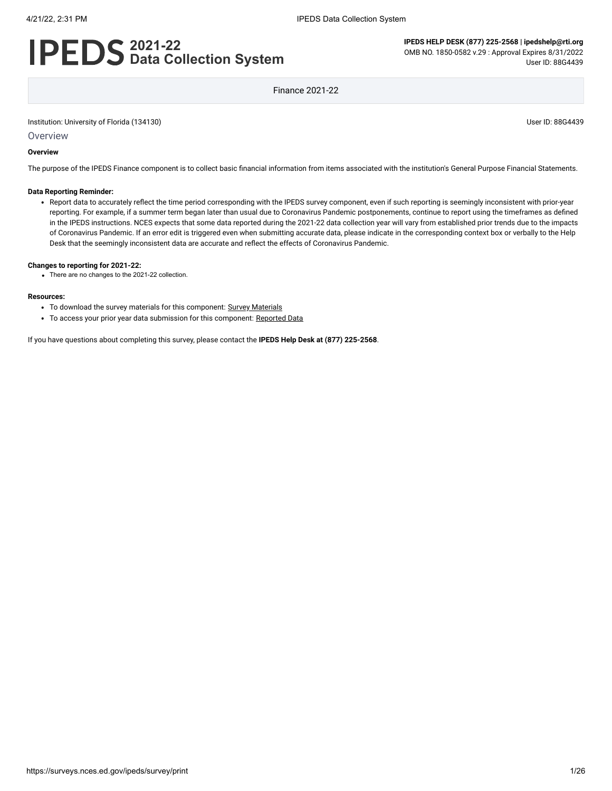# **2021-22 Data Collection System**

**IPEDS HELP DESK (877) 225-2568 | ipedshelp@rti.org** OMB NO. 1850-0582 v.29 : Approval Expires 8/31/2022 User ID: 88G4439

Finance 2021-22

Institution: University of Florida (134130) User ID: 88G4439

**Overview** 

#### **Overview**

The purpose of the IPEDS Finance component is to collect basic financial information from items associated with the institution's General Purpose Financial Statements.

#### **Data Reporting Reminder:**

Report data to accurately reflect the time period corresponding with the IPEDS survey component, even if such reporting is seemingly inconsistent with prior-year reporting. For example, if a summer term began later than usual due to Coronavirus Pandemic postponements, continue to report using the timeframes as defined in the IPEDS instructions. NCES expects that some data reported during the 2021-22 data collection year will vary from established prior trends due to the impacts of Coronavirus Pandemic. If an error edit is triggered even when submitting accurate data, please indicate in the corresponding context box or verbally to the Help Desk that the seemingly inconsistent data are accurate and reflect the effects of Coronavirus Pandemic.

#### **Changes to reporting for 2021-22:**

There are no changes to the 2021-22 collection.

#### **Resources:**

- To download the survey materials for this component: Survey [Materials](https://surveys.nces.ed.gov/ipeds/public/survey-materials/index)
- To access your prior year data submission for this component: [Reported Data](javascript:openReportedData(134130, 5))

If you have questions about completing this survey, please contact the **IPEDS Help Desk at (877) 225-2568**.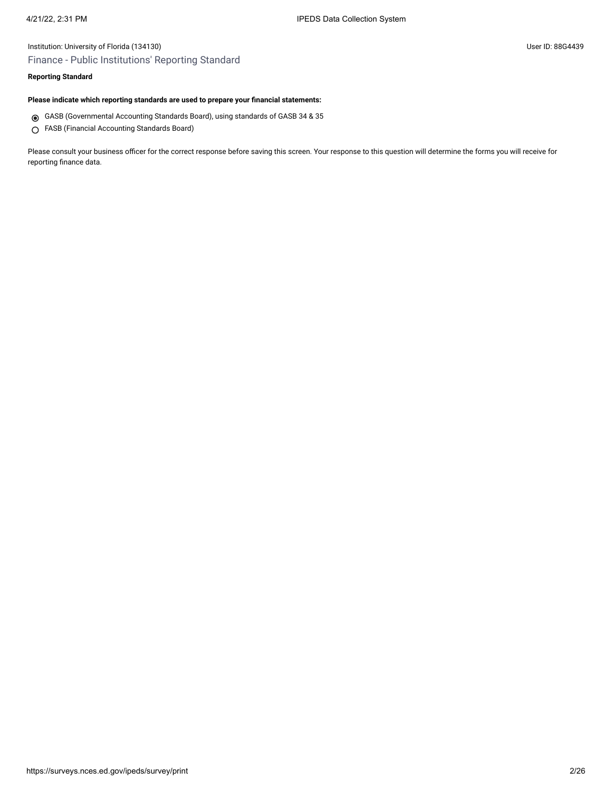## Institution: University of Florida (134130) User ID: 88G4439 Finance - Public Institutions' Reporting Standard

## **Reporting Standard**

#### **Please indicate which reporting standards are used to prepare your financial statements:**

- GASB (Governmental Accounting Standards Board), using standards of GASB 34 & 35
- FASB (Financial Accounting Standards Board)

Please consult your business officer for the correct response before saving this screen. Your response to this question will determine the forms you will receive for reporting finance data.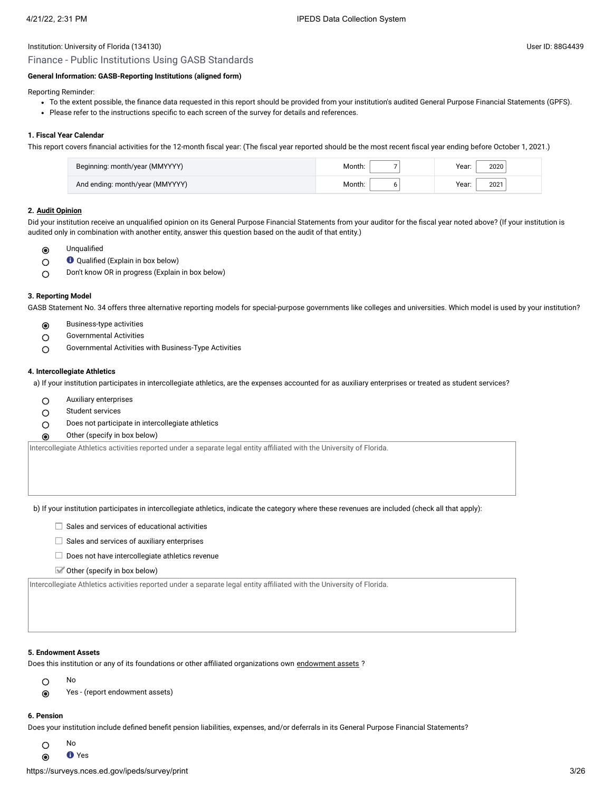## Finance - Public Institutions Using GASB Standards

### **General Information: GASB-Reporting Institutions (aligned form)**

Reporting Reminder:

- To the extent possible, the finance data requested in this report should be provided from your institution's audited General Purpose Financial Statements (GPFS).
- Please refer to the instructions specific to each screen of the survey for details and references.

#### **1. Fiscal Year Calendar**

This report covers financial activities for the 12-month fiscal year: (The fiscal year reported should be the most recent fiscal year ending before October 1, 2021.)

| Beginning: month/year (MMYYYY)  | Month: | Year:<br>2020 |
|---------------------------------|--------|---------------|
| And ending: month/year (MMYYYY) | Month: | Year:<br>2021 |

#### **2. [Audit Opinion](javascript:openglossary(727))**

Did your institution receive an unqualified opinion on its General Purpose Financial Statements from your auditor for the fiscal year noted above? (If your institution is audited only in combination with another entity, answer this question based on the audit of that entity.)

- Unqualified  $\odot$
- Qualified (Explain in box below)  $\circ$
- Don't know OR in progress (Explain in box below)  $\bigcirc$

#### **3. Reporting Model**

GASB Statement No. 34 offers three alternative reporting models for special-purpose governments like colleges and universities. Which model is used by your institution?

- Business-type activities  $\odot$
- Governmental Activities  $\circ$
- Governmental Activities with Business-Type Activities  $\circ$

#### **4. Intercollegiate Athletics**

a) If your institution participates in intercollegiate athletics, are the expenses accounted for as auxiliary enterprises or treated as student services?

- $\circ$ Auxiliary enterprises
- Student services  $\circ$
- Does not participate in intercollegiate athletics  $\circ$
- Other (specify in box below)  $\odot$

Intercollegiate Athletics activities reported under a separate legal entity affiliated with the University of Florida.

b) If your institution participates in intercollegiate athletics, indicate the category where these revenues are included (check all that apply):

- $\Box$  Sales and services of educational activities
- $\Box$  Sales and services of auxiliary enterprises
- $\Box$  Does not have intercollegiate athletics revenue
- $\blacktriangleright$  Other (specify in box below)

Intercollegiate Athletics activities reported under a separate legal entity affiliated with the University of Florida.

#### **5. Endowment Assets**

Does this institution or any of its foundations or other affiliated organizations own [endowment](javascript:openglossary(197)) assets ?

- No  $\circ$
- $\odot$ Yes - (report endowment assets)

#### **6. Pension**

Does your institution include defined benefit pension liabilities, expenses, and/or deferrals in its General Purpose Financial Statements?

- No  $\circ$
- **O** Yes  $\odot$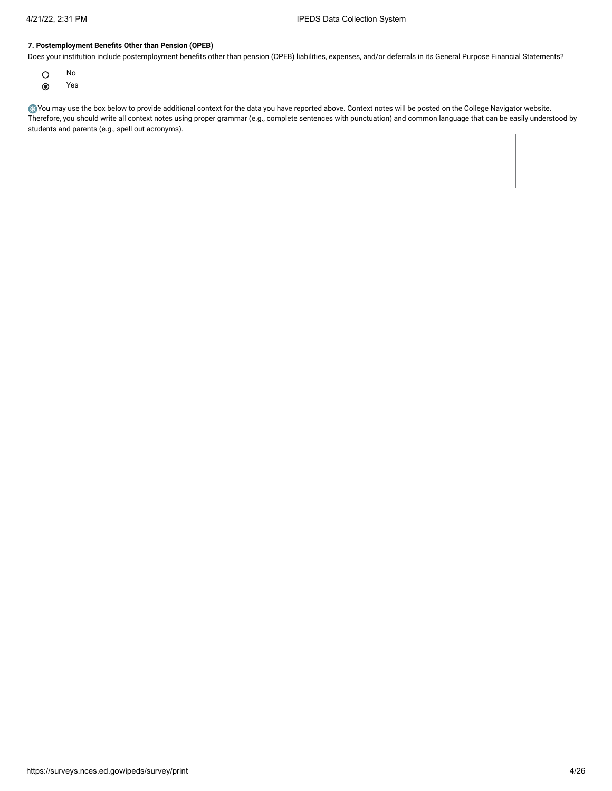#### **7. Postemployment Benefits Other than Pension (OPEB)**

Does your institution include postemployment benefits other than pension (OPEB) liabilities, expenses, and/or deferrals in its General Purpose Financial Statements?

- $\circ$ No
- Yes  $\odot$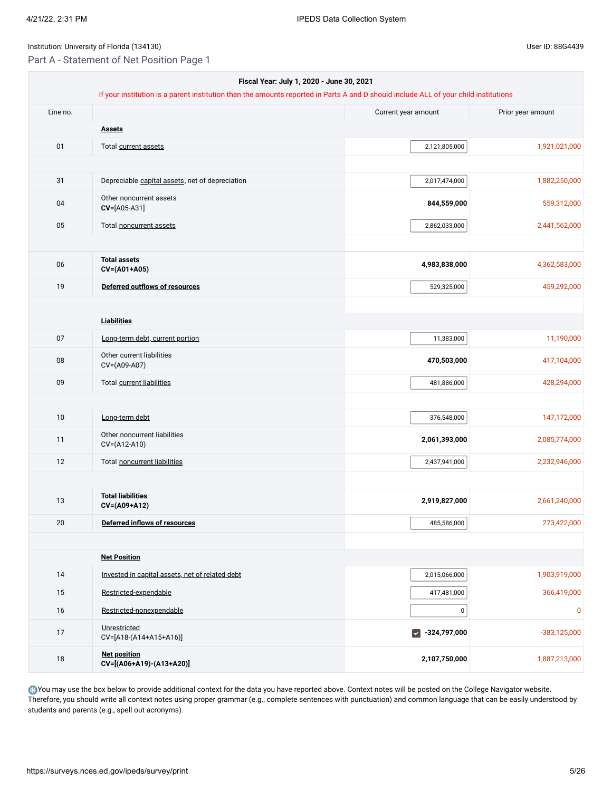Part A - Statement of Net Position Page 1

| Fiscal Year: July 1, 2020 - June 30, 2021 |                                                                                                                                      |                       |                |  |  |
|-------------------------------------------|--------------------------------------------------------------------------------------------------------------------------------------|-----------------------|----------------|--|--|
|                                           | If your institution is a parent institution then the amounts reported in Parts A and D should include ALL of your child institutions |                       |                |  |  |
| Line no.                                  | Current year amount                                                                                                                  |                       |                |  |  |
|                                           | <b>Assets</b>                                                                                                                        |                       |                |  |  |
| 01                                        | Total current assets                                                                                                                 | 2,121,805,000         | 1,921,021,000  |  |  |
|                                           |                                                                                                                                      |                       |                |  |  |
| 31                                        | Depreciable capital assets, net of depreciation                                                                                      | 2,017,474,000         | 1,882,250,000  |  |  |
| 04                                        | Other noncurrent assets<br>CV=[A05-A31]                                                                                              | 844,559,000           | 559,312,000    |  |  |
| 05                                        | Total noncurrent assets                                                                                                              | 2,862,033,000         | 2,441,562,000  |  |  |
|                                           |                                                                                                                                      |                       |                |  |  |
| 06                                        | <b>Total assets</b><br>CV=(A01+A05)                                                                                                  | 4,983,838,000         | 4,362,583,000  |  |  |
| 19                                        | Deferred outflows of resources                                                                                                       | 529,325,000           | 459,292,000    |  |  |
|                                           |                                                                                                                                      |                       |                |  |  |
|                                           | <b>Liabilities</b>                                                                                                                   |                       |                |  |  |
| 07                                        | Long-term debt, current portion                                                                                                      | 11,383,000            | 11,190,000     |  |  |
| 08                                        | Other current liabilities<br>CV=(A09-A07)                                                                                            | 470,503,000           | 417,104,000    |  |  |
| 09                                        | Total current liabilities                                                                                                            | 481,886,000           | 428,294,000    |  |  |
|                                           |                                                                                                                                      |                       |                |  |  |
| 10                                        | Long-term debt                                                                                                                       | 376,548,000           | 147,172,000    |  |  |
| 11                                        | Other noncurrent liabilities<br>CV=(A12-A10)                                                                                         | 2,061,393,000         | 2,085,774,000  |  |  |
| 12                                        | Total noncurrent liabilities                                                                                                         | 2,437,941,000         | 2,232,946,000  |  |  |
|                                           |                                                                                                                                      |                       |                |  |  |
| 13                                        | <b>Total liabilities</b><br>CV=(A09+A12)                                                                                             | 2,919,827,000         | 2,661,240,000  |  |  |
| 20                                        | Deferred inflows of resources                                                                                                        | 485,586,000           | 273,422,000    |  |  |
|                                           |                                                                                                                                      |                       |                |  |  |
|                                           | <b>Net Position</b>                                                                                                                  |                       |                |  |  |
| 14                                        | Invested in capital assets, net of related debt                                                                                      | 2,015,066,000         | 1,903,919,000  |  |  |
| 15                                        | Restricted-expendable                                                                                                                | 417,481,000           | 366,419,000    |  |  |
| 16                                        | Restricted-nonexpendable                                                                                                             | $\pmb{0}$             | $\mathbf 0$    |  |  |
| 17                                        | Unrestricted<br>CV=[A18-(A14+A15+A16)]                                                                                               | $\sqrt{-324,797,000}$ | $-383,125,000$ |  |  |
| 18                                        | <b>Net position</b><br>CV=[(A06+A19)-(A13+A20)]                                                                                      | 2,107,750,000         | 1,887,213,000  |  |  |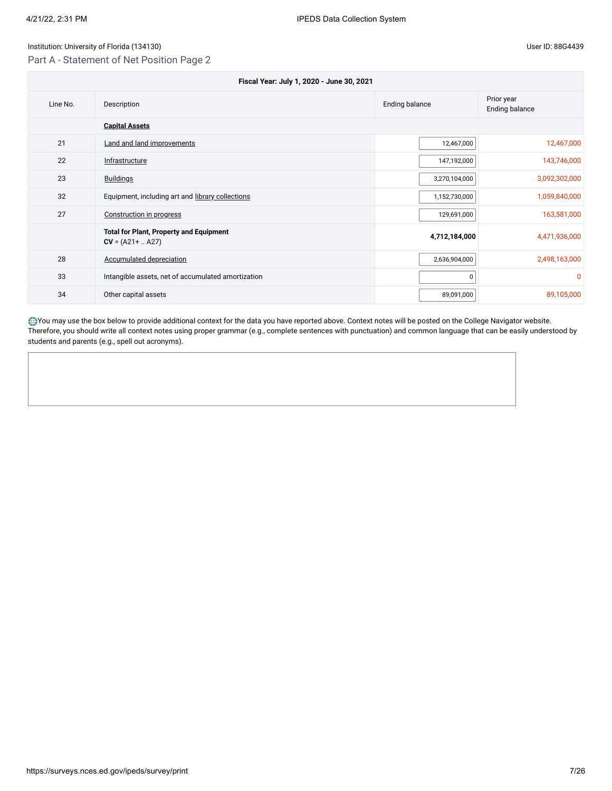## Part A - Statement of Net Position Page 2

| Fiscal Year: July 1, 2020 - June 30, 2021 |                                                                       |                                     |               |  |
|-------------------------------------------|-----------------------------------------------------------------------|-------------------------------------|---------------|--|
| Line No.                                  | Description                                                           | Prior year<br><b>Ending balance</b> |               |  |
|                                           | <b>Capital Assets</b>                                                 |                                     |               |  |
| 21                                        | <b>Land and land improvements</b>                                     | 12,467,000                          | 12,467,000    |  |
| 22                                        | Infrastructure                                                        | 147,192,000                         | 143,746,000   |  |
| 23                                        | <b>Buildings</b>                                                      | 3,270,104,000                       | 3,092,302,000 |  |
| 32                                        | Equipment, including art and library collections                      | 1,152,730,000                       | 1,059,840,000 |  |
| 27                                        | Construction in progress                                              | 129,691,000                         | 163,581,000   |  |
|                                           | <b>Total for Plant, Property and Equipment</b><br>$CV = (A21 +  A27)$ | 4,712,184,000                       | 4,471,936,000 |  |
| 28                                        | Accumulated depreciation                                              | 2,636,904,000                       | 2,498,163,000 |  |
| 33                                        | Intangible assets, net of accumulated amortization                    | $\Omega$                            | $\Omega$      |  |
| 34                                        | Other capital assets                                                  | 89,091,000                          | 89,105,000    |  |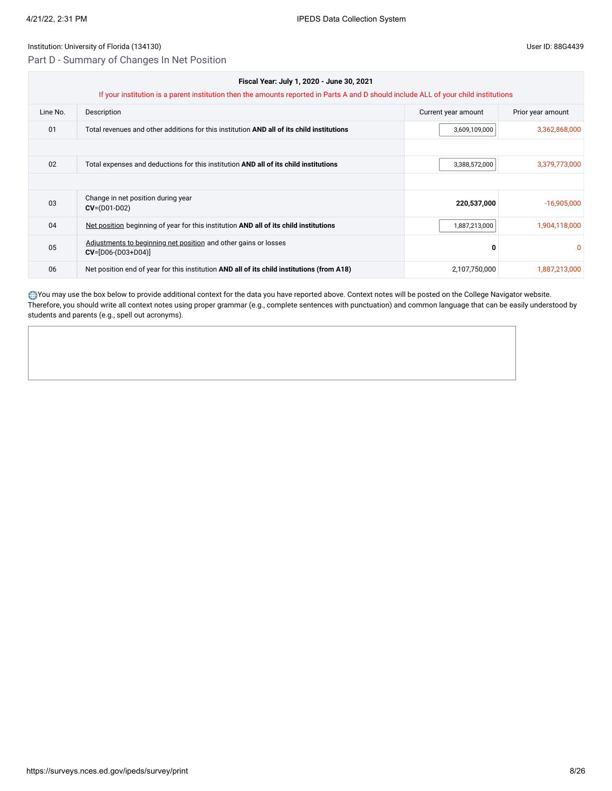Part D - Summary of Changes In Net Position

| Fiscal Year: July 1, 2020 - June 30, 2021<br>If your institution is a parent institution then the amounts reported in Parts A and D should include ALL of your child institutions |                                                                                            |                     |                   |  |
|-----------------------------------------------------------------------------------------------------------------------------------------------------------------------------------|--------------------------------------------------------------------------------------------|---------------------|-------------------|--|
| Line No.                                                                                                                                                                          | Description                                                                                | Current year amount | Prior year amount |  |
| 01                                                                                                                                                                                | Total revenues and other additions for this institution AND all of its child institutions  | 3,609,109,000       | 3,362,868,000     |  |
|                                                                                                                                                                                   |                                                                                            |                     |                   |  |
| 02                                                                                                                                                                                | Total expenses and deductions for this institution AND all of its child institutions       | 3,388,572,000       | 3,379,773,000     |  |
|                                                                                                                                                                                   |                                                                                            |                     |                   |  |
| 03                                                                                                                                                                                | Change in net position during year<br>$CV = (D01-D02)$                                     | 220,537,000         | $-16,905,000$     |  |
| 04                                                                                                                                                                                | Net position beginning of year for this institution AND all of its child institutions      | 1,887,213,000       | 1,904,118,000     |  |
| 05                                                                                                                                                                                | Adjustments to beginning net position and other gains or losses<br>$CV=[D06-(D03+D04)]$    | 0                   |                   |  |
| 06                                                                                                                                                                                | Net position end of year for this institution AND all of its child institutions (from A18) | 2,107,750,000       | 1,887,213,000     |  |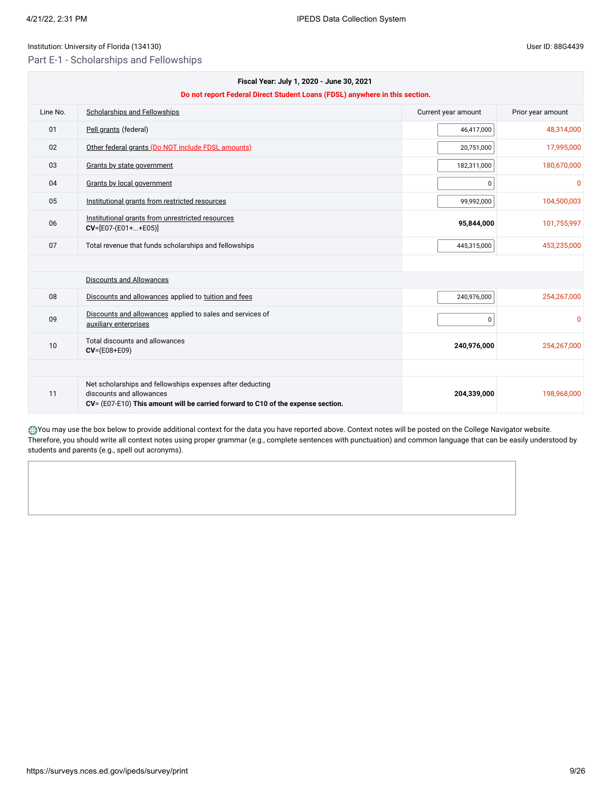Part E-1 - Scholarships and Fellowships

| Fiscal Year: July 1, 2020 - June 30, 2021<br>Do not report Federal Direct Student Loans (FDSL) anywhere in this section. |                                                                                                                                                                           |                     |                   |
|--------------------------------------------------------------------------------------------------------------------------|---------------------------------------------------------------------------------------------------------------------------------------------------------------------------|---------------------|-------------------|
| Line No.                                                                                                                 | <b>Scholarships and Fellowships</b>                                                                                                                                       | Current year amount | Prior year amount |
| 01                                                                                                                       | Pell grants (federal)                                                                                                                                                     | 46,417,000          | 48,314,000        |
| 02                                                                                                                       | Other federal grants (Do NOT include FDSL amounts)                                                                                                                        | 20,751,000          | 17,995,000        |
| 03                                                                                                                       | Grants by state government                                                                                                                                                | 182,311,000         | 180,670,000       |
| 04                                                                                                                       | Grants by local government                                                                                                                                                | 0                   | $\Omega$          |
| 05                                                                                                                       | Institutional grants from restricted resources                                                                                                                            | 99,992,000          | 104,500,003       |
| 06                                                                                                                       | Institutional grants from unrestricted resources<br>$CV=[E07-(E01++E05)]$                                                                                                 | 95,844,000          | 101,755,997       |
| 07                                                                                                                       | Total revenue that funds scholarships and fellowships                                                                                                                     | 445,315,000         | 453,235,000       |
|                                                                                                                          |                                                                                                                                                                           |                     |                   |
|                                                                                                                          | Discounts and Allowances                                                                                                                                                  |                     |                   |
| 08                                                                                                                       | Discounts and allowances applied to tuition and fees                                                                                                                      | 240,976,000         | 254,267,000       |
| 09                                                                                                                       | Discounts and allowances applied to sales and services of<br>auxiliary enterprises                                                                                        | $\mathbf 0$         | $\Omega$          |
| 10                                                                                                                       | Total discounts and allowances<br>$CV = (E08 + E09)$                                                                                                                      | 240,976,000         | 254,267,000       |
|                                                                                                                          |                                                                                                                                                                           |                     |                   |
| 11                                                                                                                       | Net scholarships and fellowships expenses after deducting<br>discounts and allowances<br>CV= (E07-E10) This amount will be carried forward to C10 of the expense section. | 204,339,000         | 198,968,000       |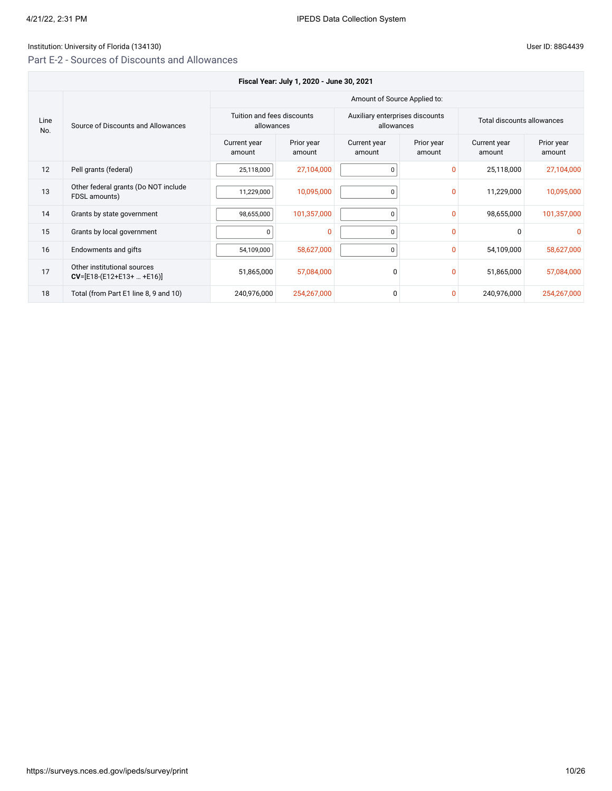## Institution: University of Florida (134130) Controlled to the User ID: 88G4439

## Part E-2 - Sources of Discounts and Allowances

| User ID: 88G |  |
|--------------|--|

| Fiscal Year: July 1, 2020 - June 30, 2021 |                                                            |                                          |                      |                                               |                      |                            |                      |
|-------------------------------------------|------------------------------------------------------------|------------------------------------------|----------------------|-----------------------------------------------|----------------------|----------------------------|----------------------|
|                                           |                                                            |                                          |                      | Amount of Source Applied to:                  |                      |                            |                      |
| Line<br>No.                               | Source of Discounts and Allowances                         | Tuition and fees discounts<br>allowances |                      | Auxiliary enterprises discounts<br>allowances |                      | Total discounts allowances |                      |
|                                           |                                                            | Current year<br>amount                   | Prior year<br>amount | Current year<br>amount                        | Prior year<br>amount | Current year<br>amount     | Prior year<br>amount |
| 12                                        | Pell grants (federal)                                      | 25,118,000                               | 27,104,000           | 0                                             |                      | 25,118,000                 | 27,104,000           |
| 13                                        | Other federal grants (Do NOT include<br>FDSL amounts)      | 11,229,000                               | 10,095,000           | 0                                             | $\Omega$             | 11,229,000                 | 10,095,000           |
| 14                                        | Grants by state government                                 | 98,655,000                               | 101,357,000          | $\mathbf 0$                                   | $\mathbf{0}$         | 98,655,000                 | 101,357,000          |
| 15                                        | Grants by local government                                 |                                          | $\overline{0}$       | 0                                             | 0                    | $\Omega$                   | <sup>0</sup>         |
| 16                                        | Endowments and gifts                                       | 54,109,000                               | 58,627,000           | $\overline{0}$                                | $\mathbf{0}$         | 54,109,000                 | 58,627,000           |
| 17                                        | Other institutional sources<br>$CV=[E18-(E12+E13+  +E16)]$ | 51,865,000                               | 57,084,000           | $\Omega$                                      | 0                    | 51,865,000                 | 57,084,000           |
| 18                                        | Total (from Part E1 line 8, 9 and 10)                      | 240,976,000                              | 254,267,000          | 0                                             | $\Omega$             | 240,976,000                | 254,267,000          |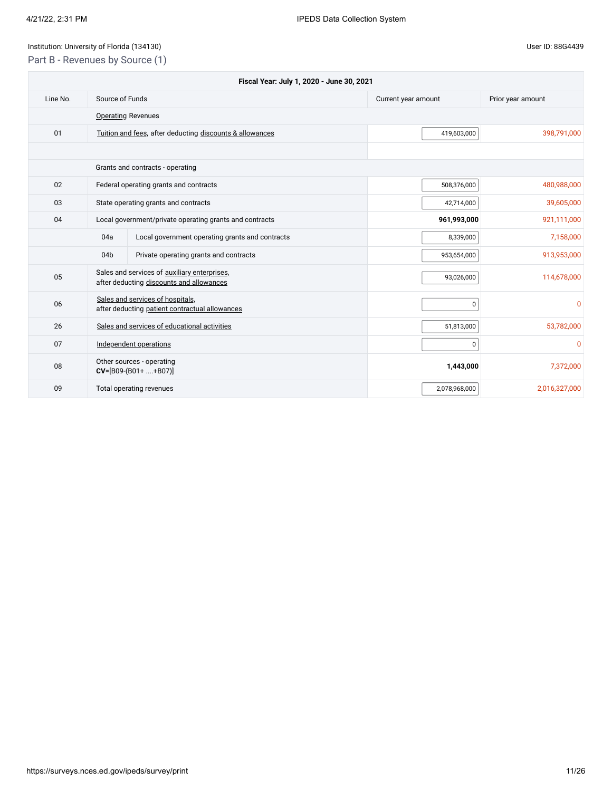## Institution: University of Florida (134130) Controlled the USE of Disease of Planck and Disease in the User ID: 88G4439 Part B - Revenues by Source (1)

|          |                 | Fiscal Year: July 1, 2020 - June 30, 2021                                                |                     |                   |
|----------|-----------------|------------------------------------------------------------------------------------------|---------------------|-------------------|
| Line No. | Source of Funds |                                                                                          | Current year amount | Prior year amount |
|          |                 | <b>Operating Revenues</b>                                                                |                     |                   |
| 01       |                 | Tuition and fees, after deducting discounts & allowances                                 | 419,603,000         | 398,791,000       |
|          |                 |                                                                                          |                     |                   |
|          |                 | Grants and contracts - operating                                                         |                     |                   |
| 02       |                 | Federal operating grants and contracts                                                   | 508,376,000         | 480,988,000       |
| 03       |                 | State operating grants and contracts                                                     | 42,714,000          | 39,605,000        |
| 04       |                 | Local government/private operating grants and contracts                                  | 961,993,000         | 921,111,000       |
|          | 04a             | Local government operating grants and contracts                                          | 8,339,000           | 7,158,000         |
|          | 04b             | Private operating grants and contracts                                                   | 953,654,000         | 913,953,000       |
| 05       |                 | Sales and services of auxiliary enterprises,<br>after deducting discounts and allowances | 93,026,000          | 114,678,000       |
| 06       |                 | Sales and services of hospitals,<br>after deducting patient contractual allowances       | 0                   | $\mathbf{0}$      |
| 26       |                 | Sales and services of educational activities                                             | 51,813,000          | 53,782,000        |
| 07       |                 | Independent operations                                                                   | 0                   | 0                 |
| 08       |                 | Other sources - operating<br>$CV=[B09-(B01++B07)]$                                       | 1,443,000           | 7,372,000         |
| 09       |                 | Total operating revenues                                                                 | 2,078,968,000       | 2,016,327,000     |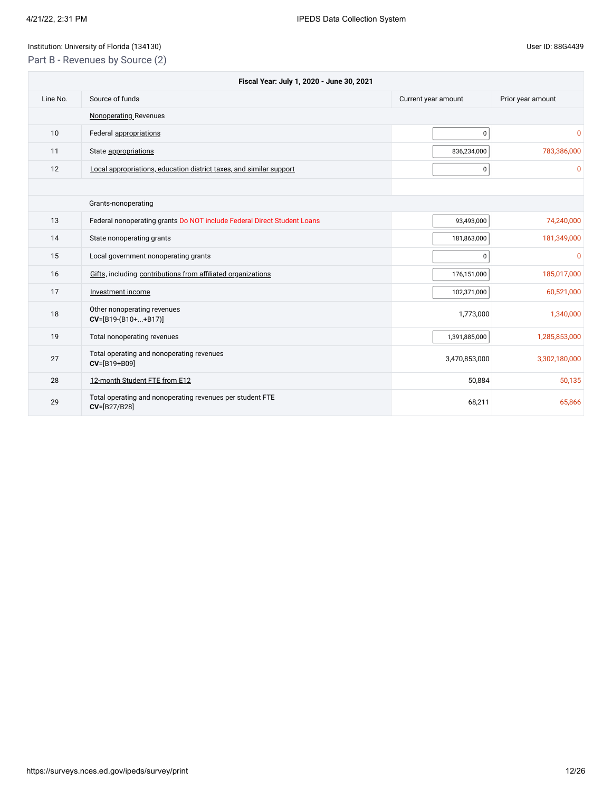Part B - Revenues by Source (2)

| Fiscal Year: July 1, 2020 - June 30, 2021 |                                                                           |                     |                   |  |
|-------------------------------------------|---------------------------------------------------------------------------|---------------------|-------------------|--|
| Line No.                                  | Source of funds                                                           | Current year amount | Prior year amount |  |
|                                           | <b>Nonoperating Revenues</b>                                              |                     |                   |  |
| 10                                        | Federal appropriations                                                    | 0                   | 0                 |  |
| 11                                        | State appropriations                                                      | 836,234,000         | 783,386,000       |  |
| 12                                        | Local appropriations, education district taxes, and similar support       | 0                   | ŋ                 |  |
|                                           |                                                                           |                     |                   |  |
|                                           | Grants-nonoperating                                                       |                     |                   |  |
| 13                                        | Federal nonoperating grants Do NOT include Federal Direct Student Loans   | 93,493,000          | 74,240,000        |  |
| 14                                        | State nonoperating grants                                                 | 181,863,000         | 181,349,000       |  |
| 15                                        | Local government nonoperating grants                                      | 0                   | 0                 |  |
| 16                                        | Gifts, including contributions from affiliated organizations              | 176,151,000         | 185,017,000       |  |
| 17                                        | Investment income                                                         | 102,371,000         | 60,521,000        |  |
| 18                                        | Other nonoperating revenues<br>$CV=[B19-(B10++B17)]$                      | 1,773,000           | 1,340,000         |  |
| 19                                        | Total nonoperating revenues                                               | 1,391,885,000       | 1,285,853,000     |  |
| 27                                        | Total operating and nonoperating revenues<br>CV=[B19+B09]                 | 3,470,853,000       | 3,302,180,000     |  |
| 28                                        | 12-month Student FTE from E12                                             | 50,884              | 50,135            |  |
| 29                                        | Total operating and nonoperating revenues per student FTE<br>CV=[B27/B28] | 68,211              | 65,866            |  |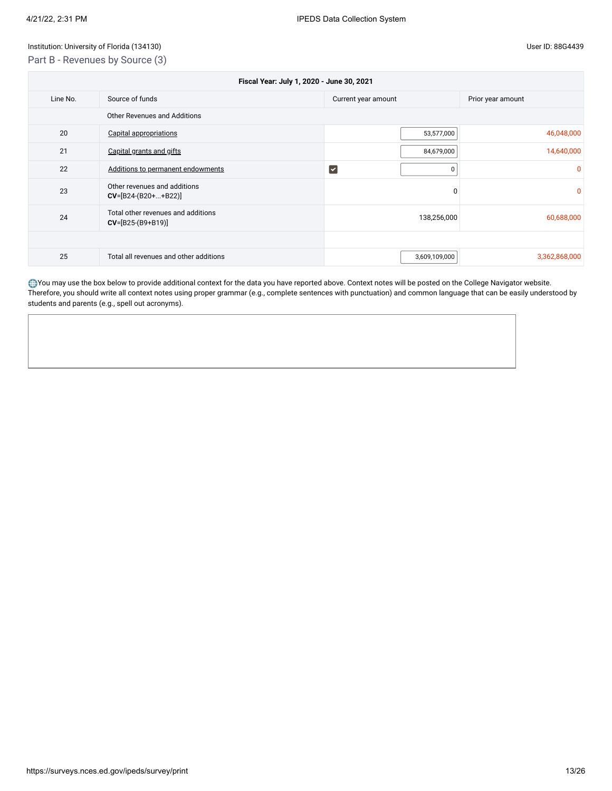## Institution: University of Florida (134130) User ID: 88G4439 Part B - Revenues by Source (3)

| Fiscal Year: July 1, 2020 - June 30, 2021 |                                                           |                     |                   |
|-------------------------------------------|-----------------------------------------------------------|---------------------|-------------------|
| Line No.                                  | Source of funds                                           | Current year amount | Prior year amount |
| Other Revenues and Additions              |                                                           |                     |                   |
| 20                                        | <b>Capital appropriations</b>                             | 53,577,000          | 46,048,000        |
| 21                                        | Capital grants and gifts                                  | 84,679,000          | 14,640,000        |
| 22                                        | Additions to permanent endowments                         | $ \mathbf{v} $      | n                 |
| 23                                        | Other revenues and additions<br>$CV=[B24-(B20++B22)]$     | 0                   | 0                 |
| 24                                        | Total other revenues and additions<br>$CV=[B25-(B9+B19)]$ | 138,256,000         | 60,688,000        |
|                                           |                                                           |                     |                   |
| 25                                        | Total all revenues and other additions                    | 3,609,109,000       | 3,362,868,000     |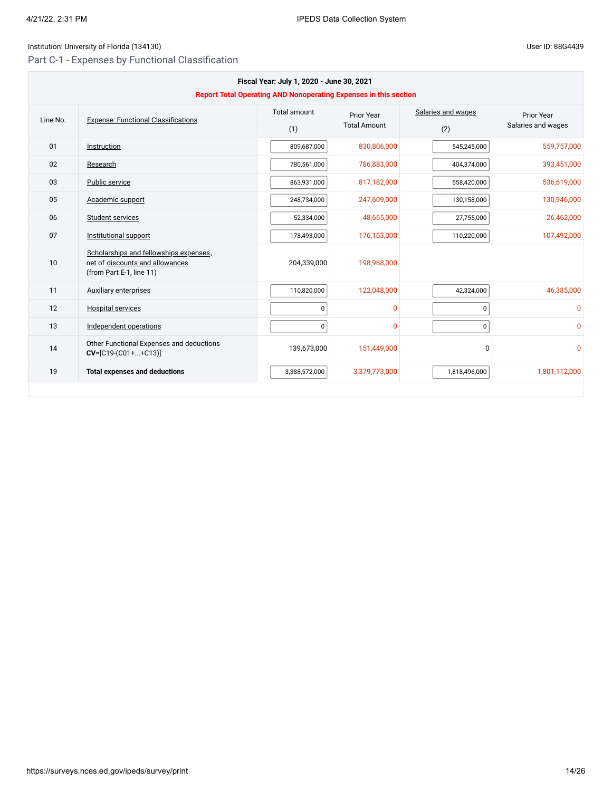## Institution: University of Florida (134130) Controlled the USE of Disease of Planck and Disease in the User ID: 88G4439

Part C-1 - Expenses by Functional Classification

| Fiscal Year: July 1, 2020 - June 30, 2021<br><b>Report Total Operating AND Nonoperating Expenses in this section</b> |                                                                                                       |               |                     |               |                    |
|----------------------------------------------------------------------------------------------------------------------|-------------------------------------------------------------------------------------------------------|---------------|---------------------|---------------|--------------------|
| Line No.                                                                                                             | <b>Expense: Functional Classifications</b>                                                            | Prior Year    | Salaries and wages  | Prior Year    |                    |
|                                                                                                                      |                                                                                                       | (1)           | <b>Total Amount</b> | (2)           | Salaries and wages |
| 01                                                                                                                   | Instruction                                                                                           | 809,687,000   | 830,806,000         | 545,245,000   | 559,757,000        |
| 02                                                                                                                   | Research                                                                                              | 780,561,000   | 786,883,000         | 404,374,000   | 393,451,000        |
| 03                                                                                                                   | Public service                                                                                        | 863,931,000   | 817,182,000         | 558,420,000   | 536,619,000        |
| 05                                                                                                                   | Academic support                                                                                      | 248,734,000   | 247,609,000         | 130,158,000   | 130,946,000        |
| 06                                                                                                                   | Student services                                                                                      | 52,334,000    | 48,665,000          | 27,755,000    | 26,462,000         |
| 07                                                                                                                   | Institutional support                                                                                 | 178,493,000   | 176,163,000         | 110,220,000   | 107,492,000        |
| 10                                                                                                                   | Scholarships and fellowships expenses,<br>net of discounts and allowances<br>(from Part E-1, line 11) | 204,339,000   | 198,968,000         |               |                    |
| 11                                                                                                                   | <b>Auxiliary enterprises</b>                                                                          | 110,820,000   | 122,048,000         | 42,324,000    | 46,385,000         |
| 12                                                                                                                   | <b>Hospital services</b>                                                                              | $\pmb{0}$     | 0                   | 0             | $\mathbf{0}$       |
| 13                                                                                                                   | Independent operations                                                                                | $\mathbf 0$   | $\Omega$            | 0             | $\Omega$           |
| 14                                                                                                                   | Other Functional Expenses and deductions<br>$CV=[C19-(C01++C13)]$                                     | 139,673,000   | 151,449,000         | 0             | $\mathbf{0}$       |
| 19                                                                                                                   | <b>Total expenses and deductions</b>                                                                  | 3,388,572,000 | 3,379,773,000       | 1,818,496,000 | 1,801,112,000      |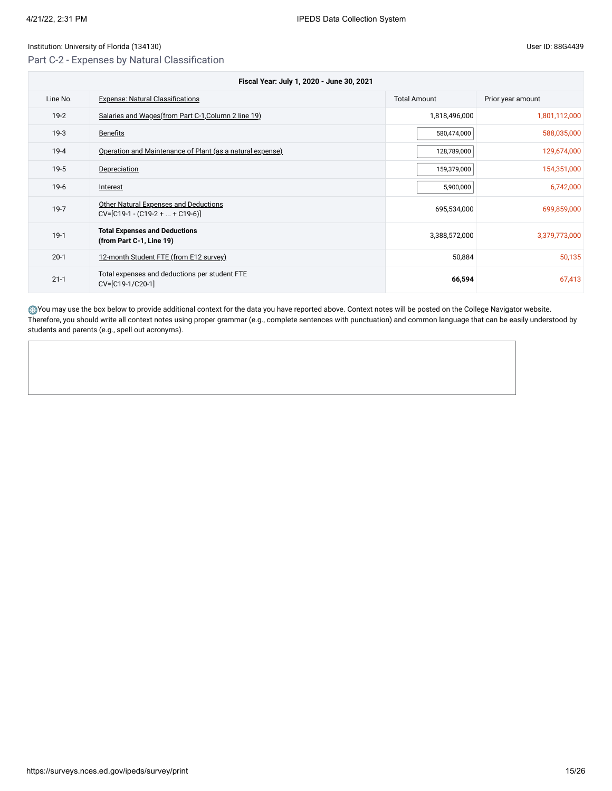Part C-2 - Expenses by Natural Classification

21-1 Total expenses and deductions per student FTE<br>CV=[C19-1/C20-1]

| Fiscal Year: July 1, 2020 - June 30, 2021 |                                                                      |                     |                   |  |
|-------------------------------------------|----------------------------------------------------------------------|---------------------|-------------------|--|
| Line No.                                  | <b>Expense: Natural Classifications</b>                              | <b>Total Amount</b> | Prior year amount |  |
| $19-2$                                    | Salaries and Wages (from Part C-1, Column 2 line 19)                 | 1,818,496,000       | 1,801,112,000     |  |
| $19-3$                                    | <b>Benefits</b>                                                      | 580,474,000         | 588,035,000       |  |
| $19 - 4$                                  | Operation and Maintenance of Plant (as a natural expense)            | 128,789,000         | 129,674,000       |  |
| $19-5$                                    | Depreciation                                                         | 159,379,000         | 154,351,000       |  |
| $19-6$                                    | Interest                                                             | 5,900,000           | 6,742,000         |  |
| $19-7$                                    | Other Natural Expenses and Deductions<br>$CV=[C19-1-(C19-2++C19-6)]$ | 695,534,000         | 699,859,000       |  |
| $19-1$                                    | <b>Total Expenses and Deductions</b><br>(from Part C-1, Line 19)     | 3,388,572,000       | 3,379,773,000     |  |
| $20-1$                                    | 12-month Student FTE (from E12 survey)                               | 50,884              | 50,135            |  |

You may use the box below to provide additional context for the data you have reported above. Context notes will be posted on the College Navigator website. Therefore, you should write all context notes using proper grammar (e.g., complete sentences with punctuation) and common language that can be easily understood by students and parents (e.g., spell out acronyms).

CV=[C19-1/C20-1] **66,594** 67,413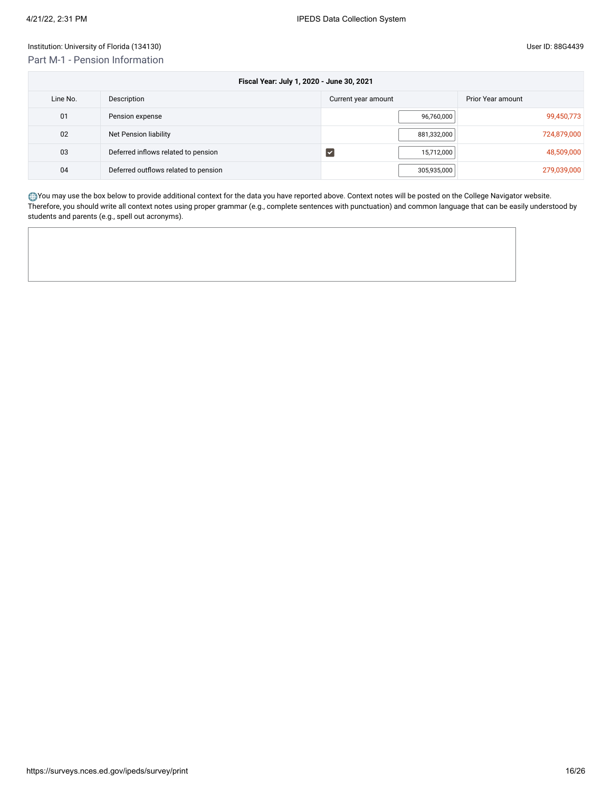| Fiscal Year: July 1, 2020 - June 30, 2021 |                                      |                     |                   |  |  |
|-------------------------------------------|--------------------------------------|---------------------|-------------------|--|--|
| Line No.                                  | Description                          | Current year amount | Prior Year amount |  |  |
| 01                                        | Pension expense                      | 96,760,000          | 99,450,773        |  |  |
| 02                                        | Net Pension liability                | 881,332,000         | 724,879,000       |  |  |
| 03                                        | Deferred inflows related to pension  | 15,712,000<br>∣V    | 48,509,000        |  |  |
| 04                                        | Deferred outflows related to pension | 305,935,000         | 279,039,000       |  |  |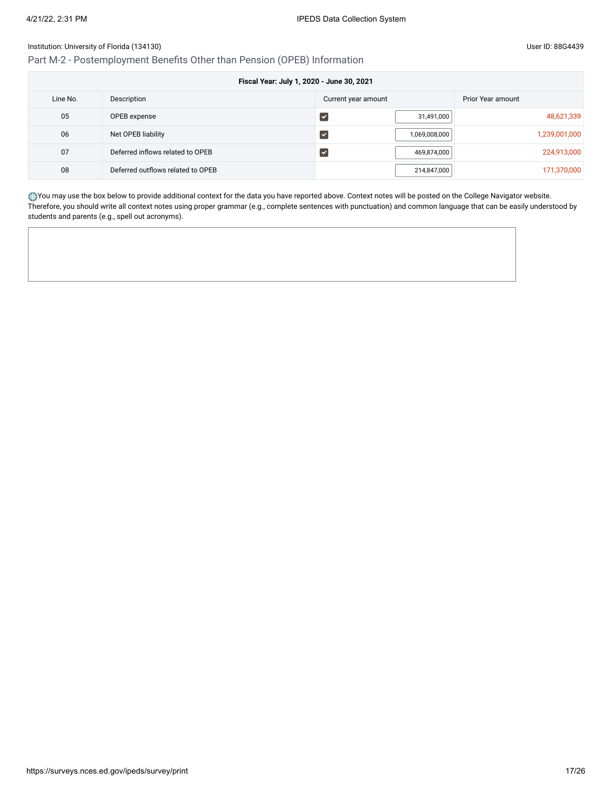Part M-2 - Postemployment Benefits Other than Pension (OPEB) Information

| Fiscal Year: July 1, 2020 - June 30, 2021 |                                   |                             |                   |  |  |
|-------------------------------------------|-----------------------------------|-----------------------------|-------------------|--|--|
| Line No.                                  | Description                       | Current year amount         | Prior Year amount |  |  |
| 05                                        | OPEB expense                      | 31,491,000                  | 48,621,339        |  |  |
| 06                                        | Net OPEB liability                | 1,069,008,000               | 1,239,001,000     |  |  |
| 07                                        | Deferred inflows related to OPEB  | 469,874,000<br>$\checkmark$ | 224,913,000       |  |  |
| 08                                        | Deferred outflows related to OPEB | 214,847,000                 | 171,370,000       |  |  |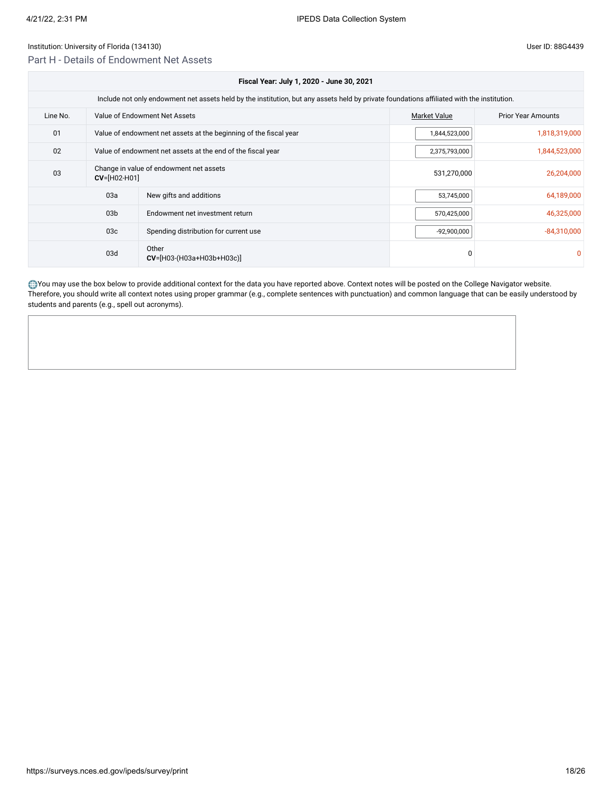## Part H - Details of Endowment Net Assets

|                                                                         | Fiscal Year: July 1, 2020 - June 30, 2021                                                                                                  |                                       |                     |                           |  |  |  |  |
|-------------------------------------------------------------------------|--------------------------------------------------------------------------------------------------------------------------------------------|---------------------------------------|---------------------|---------------------------|--|--|--|--|
|                                                                         | Include not only endowment net assets held by the institution, but any assets held by private foundations affiliated with the institution. |                                       |                     |                           |  |  |  |  |
| Line No.                                                                |                                                                                                                                            | Value of Endowment Net Assets         | <b>Market Value</b> | <b>Prior Year Amounts</b> |  |  |  |  |
| 01<br>Value of endowment net assets at the beginning of the fiscal year |                                                                                                                                            |                                       | 1,844,523,000       | 1,818,319,000             |  |  |  |  |
| 02<br>Value of endowment net assets at the end of the fiscal year       |                                                                                                                                            |                                       | 2,375,793,000       | 1,844,523,000             |  |  |  |  |
| 03                                                                      | Change in value of endowment net assets<br>$CV=[H02-H01]$                                                                                  |                                       |                     | 26,204,000                |  |  |  |  |
|                                                                         | 03a                                                                                                                                        | New gifts and additions               | 53,745,000          | 64,189,000                |  |  |  |  |
| 03 <sub>b</sub>                                                         |                                                                                                                                            | Endowment net investment return       |                     | 46,325,000                |  |  |  |  |
| 03 <sub>c</sub>                                                         |                                                                                                                                            | Spending distribution for current use | $-92,900,000$       | $-84,310,000$             |  |  |  |  |
| 03d                                                                     |                                                                                                                                            | Other<br>$CV=[H03-(H03a+H03b+H03c)]$  | $\Omega$            |                           |  |  |  |  |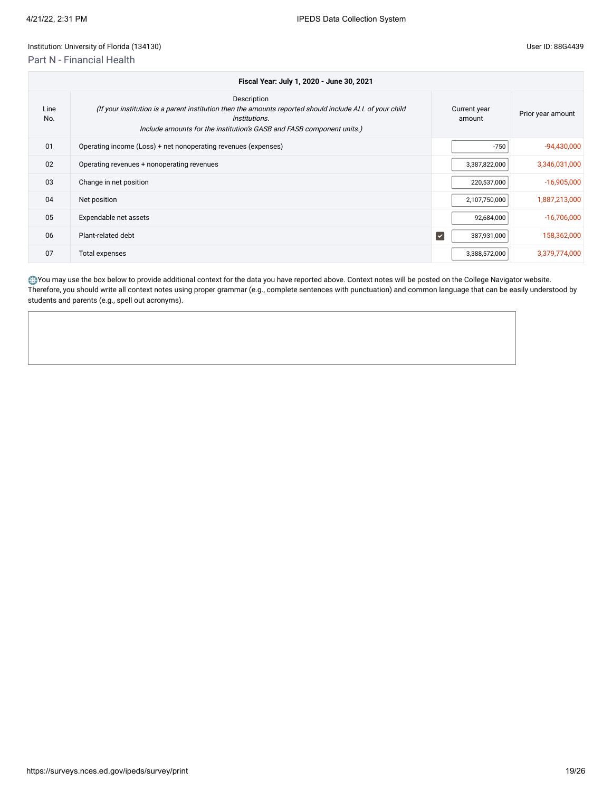## Institution: University of Florida (134130)

## Part N - Financial Health

|  |  | User ID: 88G4439 |
|--|--|------------------|
|--|--|------------------|

|             | Fiscal Year: July 1, 2020 - June 30, 2021                                                                                                                                                                               |                                     |                   |  |  |  |
|-------------|-------------------------------------------------------------------------------------------------------------------------------------------------------------------------------------------------------------------------|-------------------------------------|-------------------|--|--|--|
| Line<br>No. | Description<br>(If your institution is a parent institution then the amounts reported should include ALL of your child<br><i>institutions.</i><br>Include amounts for the institution's GASB and FASB component units.) | Current year<br>amount              | Prior year amount |  |  |  |
| 01          | Operating income (Loss) + net nonoperating revenues (expenses)                                                                                                                                                          | $-750$                              | $-94,430,000$     |  |  |  |
| 02          | Operating revenues + nonoperating revenues                                                                                                                                                                              | 3,387,822,000                       | 3,346,031,000     |  |  |  |
| 03          | Change in net position                                                                                                                                                                                                  | 220,537,000                         | $-16,905,000$     |  |  |  |
| 04          | Net position                                                                                                                                                                                                            | 2,107,750,000                       | 1,887,213,000     |  |  |  |
| 05          | Expendable net assets                                                                                                                                                                                                   | 92,684,000                          | $-16,706,000$     |  |  |  |
| 06          | Plant-related debt                                                                                                                                                                                                      | $\blacktriangledown$<br>387,931,000 | 158,362,000       |  |  |  |
| 07          | Total expenses                                                                                                                                                                                                          | 3,388,572,000                       | 3,379,774,000     |  |  |  |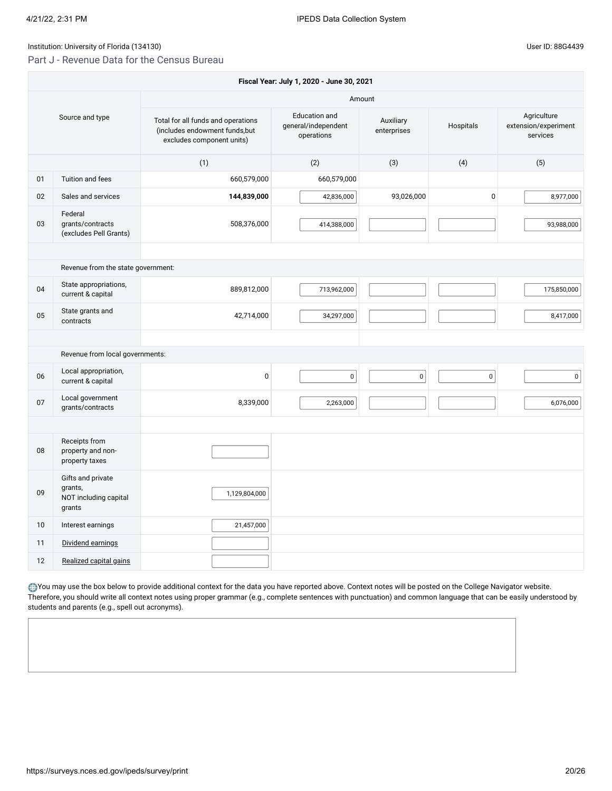## Part J - Revenue Data for the Census Bureau

|    | Fiscal Year: July 1, 2020 - June 30, 2021                       |                                                                                                   |                                                    |                          |             |                                                 |  |
|----|-----------------------------------------------------------------|---------------------------------------------------------------------------------------------------|----------------------------------------------------|--------------------------|-------------|-------------------------------------------------|--|
|    |                                                                 |                                                                                                   |                                                    | Amount                   |             |                                                 |  |
|    | Source and type                                                 | Total for all funds and operations<br>(includes endowment funds, but<br>excludes component units) | Education and<br>general/independent<br>operations | Auxiliary<br>enterprises | Hospitals   | Agriculture<br>extension/experiment<br>services |  |
|    |                                                                 | (1)                                                                                               | (2)                                                | (3)                      | (4)         | (5)                                             |  |
| 01 | Tuition and fees                                                | 660,579,000                                                                                       | 660,579,000                                        |                          |             |                                                 |  |
| 02 | Sales and services                                              | 144,839,000                                                                                       | 42,836,000                                         | 93,026,000               | $\mathbf 0$ | 8,977,000                                       |  |
| 03 | Federal<br>grants/contracts<br>(excludes Pell Grants)           | 508,376,000                                                                                       | 414,388,000                                        |                          |             | 93,988,000                                      |  |
|    |                                                                 |                                                                                                   |                                                    |                          |             |                                                 |  |
|    | Revenue from the state government:                              |                                                                                                   |                                                    |                          |             |                                                 |  |
| 04 | State appropriations,<br>current & capital                      | 889,812,000                                                                                       | 713,962,000                                        |                          |             | 175,850,000                                     |  |
| 05 | State grants and<br>contracts                                   | 42,714,000                                                                                        | 34,297,000                                         |                          |             | 8,417,000                                       |  |
|    |                                                                 |                                                                                                   |                                                    |                          |             |                                                 |  |
|    | Revenue from local governments:                                 |                                                                                                   |                                                    |                          |             |                                                 |  |
| 06 | Local appropriation,<br>current & capital                       | $\mathbf 0$                                                                                       | $\mathbf 0$                                        | $\mathsf 0$              | $\pmb{0}$   | $\mathsf{O}\xspace$                             |  |
| 07 | Local government<br>grants/contracts                            | 8,339,000                                                                                         | 2,263,000                                          |                          |             | 6,076,000                                       |  |
|    |                                                                 |                                                                                                   |                                                    |                          |             |                                                 |  |
| 08 | Receipts from<br>property and non-<br>property taxes            |                                                                                                   |                                                    |                          |             |                                                 |  |
| 09 | Gifts and private<br>grants,<br>NOT including capital<br>grants | 1,129,804,000                                                                                     |                                                    |                          |             |                                                 |  |
| 10 | Interest earnings                                               | 21,457,000                                                                                        |                                                    |                          |             |                                                 |  |
| 11 | Dividend earnings                                               |                                                                                                   |                                                    |                          |             |                                                 |  |
| 12 | Realized capital gains                                          |                                                                                                   |                                                    |                          |             |                                                 |  |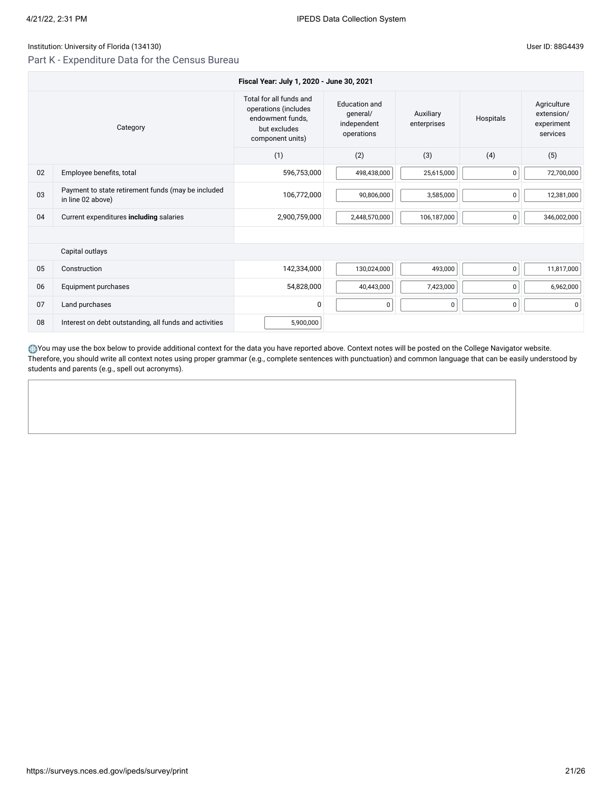## Institution: University of Florida (134130)

## Part K - Expenditure Data for the Census Bureau

|  |  | User ID: 88G4439 |
|--|--|------------------|
|--|--|------------------|

|          | Fiscal Year: July 1, 2020 - June 30, 2021                               |                                                                                                         |                                                        |                          |             |                                                     |  |  |
|----------|-------------------------------------------------------------------------|---------------------------------------------------------------------------------------------------------|--------------------------------------------------------|--------------------------|-------------|-----------------------------------------------------|--|--|
| Category |                                                                         | Total for all funds and<br>operations (includes<br>endowment funds.<br>but excludes<br>component units) | Education and<br>qeneral/<br>independent<br>operations | Auxiliary<br>enterprises | Hospitals   | Agriculture<br>extension/<br>experiment<br>services |  |  |
|          |                                                                         | (1)                                                                                                     | (2)                                                    | (3)                      | (4)         | (5)                                                 |  |  |
| 02       | Employee benefits, total                                                | 596,753,000                                                                                             | 498,438,000                                            | 25,615,000               | $\pmb{0}$   | 72,700,000                                          |  |  |
| 03       | Payment to state retirement funds (may be included<br>in line 02 above) | 106,772,000                                                                                             | 90,806,000                                             | 3,585,000                | $\mathbf 0$ | 12,381,000                                          |  |  |
| 04       | Current expenditures including salaries                                 | 2,900,759,000                                                                                           | 2,448,570,000                                          | 106,187,000              | 0           | 346,002,000                                         |  |  |
|          |                                                                         |                                                                                                         |                                                        |                          |             |                                                     |  |  |
|          | Capital outlays                                                         |                                                                                                         |                                                        |                          |             |                                                     |  |  |
| 05       | Construction                                                            | 142,334,000                                                                                             | 130,024,000                                            | 493,000                  | 0           | 11,817,000                                          |  |  |
| 06       | Equipment purchases                                                     | 54,828,000                                                                                              | 40,443,000                                             | 7,423,000                | $\pmb{0}$   | 6,962,000                                           |  |  |
| 07       | Land purchases                                                          | $\mathbf 0$                                                                                             | 0                                                      | 0                        | $\mathbf 0$ | 0                                                   |  |  |
| 08       | Interest on debt outstanding, all funds and activities                  | 5,900,000                                                                                               |                                                        |                          |             |                                                     |  |  |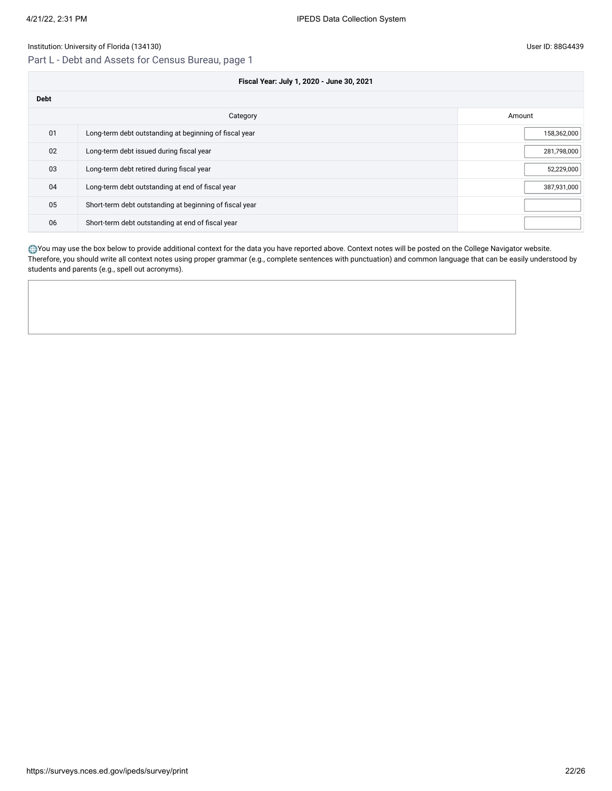## Part L - Debt and Assets for Census Bureau, page 1

|             | Fiscal Year: July 1, 2020 - June 30, 2021               |             |  |  |  |
|-------------|---------------------------------------------------------|-------------|--|--|--|
| <b>Debt</b> |                                                         |             |  |  |  |
|             | Category                                                | Amount      |  |  |  |
| 01          | Long-term debt outstanding at beginning of fiscal year  | 158,362,000 |  |  |  |
| 02          | Long-term debt issued during fiscal year                | 281,798,000 |  |  |  |
| 03          | Long-term debt retired during fiscal year               | 52,229,000  |  |  |  |
| 04          | Long-term debt outstanding at end of fiscal year        | 387,931,000 |  |  |  |
| 05          | Short-term debt outstanding at beginning of fiscal year |             |  |  |  |
| 06          | Short-term debt outstanding at end of fiscal year       |             |  |  |  |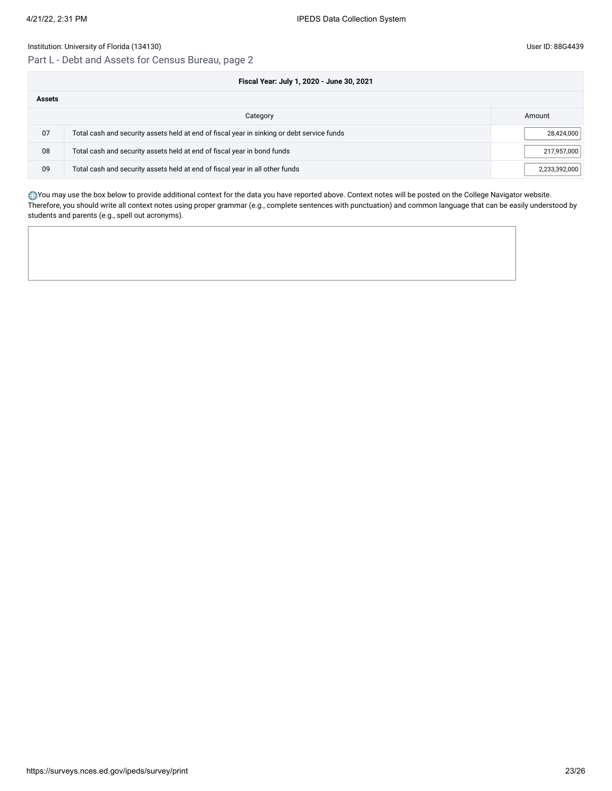## Part L - Debt and Assets for Census Bureau, page 2

|               | Fiscal Year: July 1, 2020 - June 30, 2021                                                  |               |
|---------------|--------------------------------------------------------------------------------------------|---------------|
| <b>Assets</b> |                                                                                            |               |
|               | Category                                                                                   | Amount        |
| 07            | Total cash and security assets held at end of fiscal year in sinking or debt service funds | 28,424,000    |
| 08            | Total cash and security assets held at end of fiscal year in bond funds                    | 217,957,000   |
| 09            | Total cash and security assets held at end of fiscal year in all other funds               | 2,233,392,000 |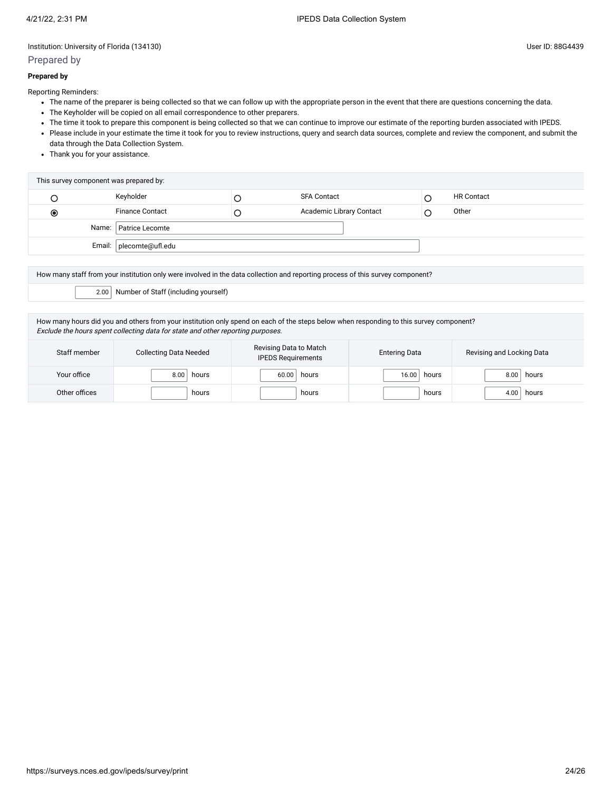## Prepared by

#### **Prepared by**

Reporting Reminders:

- The name of the preparer is being collected so that we can follow up with the appropriate person in the event that there are questions concerning the data.
- The Keyholder will be copied on all email correspondence to other preparers.
- The time it took to prepare this component is being collected so that we can continue to improve our estimate of the reporting burden associated with IPEDS.
- Please include in your estimate the time it took for you to review instructions, query and search data sources, complete and review the component, and submit the data through the Data Collection System.
- Thank you for your assistance.

| Keyholder<br><b>HR Contact</b><br><b>SFA Contact</b><br><b>Finance Contact</b><br>Academic Library Contact<br>Other<br>$_{\odot}$<br>Name:   Patrice Lecomte | This survey component was prepared by: |  |  |
|--------------------------------------------------------------------------------------------------------------------------------------------------------------|----------------------------------------|--|--|
|                                                                                                                                                              |                                        |  |  |
|                                                                                                                                                              |                                        |  |  |
|                                                                                                                                                              |                                        |  |  |
|                                                                                                                                                              | Email:   plecomte@ufl.edu              |  |  |

How many staff from your institution only were involved in the data collection and reporting process of this survey component?

2.00 Number of Staff (including yourself)

How many hours did you and others from your institution only spend on each of the steps below when responding to this survey component? Exclude the hours spent collecting data for state and other reporting purposes.

| Staff member  | <b>Collecting Data Needed</b> | Revising Data to Match<br><b>IPEDS Requirements</b> | <b>Entering Data</b> | Revising and Locking Data |
|---------------|-------------------------------|-----------------------------------------------------|----------------------|---------------------------|
| Your office   | 8.00<br>hours                 | hours<br>60.00                                      | hours<br>16.00       | hours<br>8.00             |
| Other offices | hours                         | hours                                               | hours                | 4.00<br>hours             |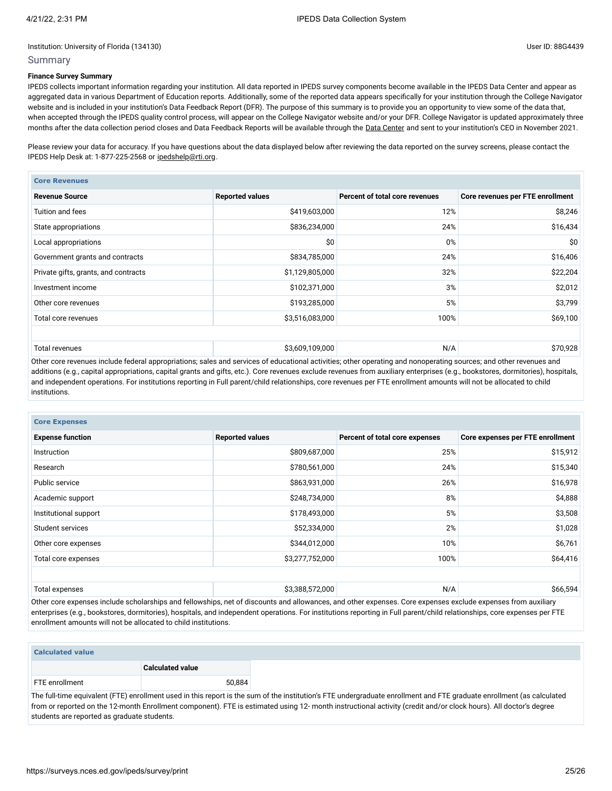#### Summary

### **Finance Survey Summary**

IPEDS collects important information regarding your institution. All data reported in IPEDS survey components become available in the IPEDS Data Center and appear as aggregated data in various Department of Education reports. Additionally, some of the reported data appears specifically for your institution through the College Navigator website and is included in your institution's Data Feedback Report (DFR). The purpose of this summary is to provide you an opportunity to view some of the data that, when accepted through the IPEDS quality control process, will appear on the College Navigator website and/or your DFR. College Navigator is updated approximately three months after the data collection period closes and Data Feedback Reports will be available through the Data [Center](https://nces.ed.gov/ipeds/use-the-data) and sent to your institution's CEO in November 2021.

Please review your data for accuracy. If you have questions about the data displayed below after reviewing the data reported on the survey screens, please contact the IPEDS Help Desk at: 1-877-225-2568 or [ipedshelp@rti.org.](mailto:ipedshelp@rti.org)

| <b>Core Revenues</b>                 |                        |                                |                                  |  |  |  |  |
|--------------------------------------|------------------------|--------------------------------|----------------------------------|--|--|--|--|
| <b>Revenue Source</b>                | <b>Reported values</b> | Percent of total core revenues | Core revenues per FTE enrollment |  |  |  |  |
| Tuition and fees                     | \$419,603,000          | 12%                            | \$8,246                          |  |  |  |  |
| State appropriations                 | \$836,234,000          | 24%                            | \$16,434                         |  |  |  |  |
| Local appropriations                 | \$0                    | 0%                             | \$0                              |  |  |  |  |
| Government grants and contracts      | \$834,785,000          | 24%                            | \$16,406                         |  |  |  |  |
| Private gifts, grants, and contracts | \$1,129,805,000        | 32%                            | \$22,204                         |  |  |  |  |
| Investment income                    | \$102,371,000          | 3%                             | \$2,012                          |  |  |  |  |
| Other core revenues                  | \$193,285,000          | 5%                             | \$3,799                          |  |  |  |  |
| Total core revenues                  | \$3,516,083,000        | 100%                           | \$69,100                         |  |  |  |  |
|                                      |                        |                                |                                  |  |  |  |  |
| Total revenues                       | \$3,609,109,000        | N/A                            | \$70,928                         |  |  |  |  |

Other core revenues include federal appropriations; sales and services of educational activities; other operating and nonoperating sources; and other revenues and additions (e.g., capital appropriations, capital grants and gifts, etc.). Core revenues exclude revenues from auxiliary enterprises (e.g., bookstores, dormitories), hospitals, and independent operations. For institutions reporting in Full parent/child relationships, core revenues per FTE enrollment amounts will not be allocated to child institutions.

| <b>Core Expenses</b>    |                        |                                |                                  |  |  |  |  |
|-------------------------|------------------------|--------------------------------|----------------------------------|--|--|--|--|
| <b>Expense function</b> | <b>Reported values</b> | Percent of total core expenses | Core expenses per FTE enrollment |  |  |  |  |
| Instruction             | \$809,687,000          | 25%                            | \$15,912                         |  |  |  |  |
| Research                | \$780,561,000          | 24%                            | \$15,340                         |  |  |  |  |
| Public service          | \$863,931,000          | 26%                            | \$16,978                         |  |  |  |  |
| Academic support        | \$248,734,000          | 8%                             | \$4,888                          |  |  |  |  |
| Institutional support   | \$178,493,000          | 5%                             | \$3,508<br>\$1,028               |  |  |  |  |
| Student services        | \$52,334,000           | 2%                             |                                  |  |  |  |  |
| Other core expenses     | \$344,012,000          | 10%                            | \$6,761                          |  |  |  |  |
| Total core expenses     | \$3,277,752,000        | 100%                           | \$64,416                         |  |  |  |  |
|                         |                        |                                |                                  |  |  |  |  |
| Total expenses          | \$3,388,572,000        | N/A                            | \$66,594                         |  |  |  |  |

Other core expenses include scholarships and fellowships, net of discounts and allowances, and other expenses. Core expenses exclude expenses from auxiliary enterprises (e.g., bookstores, dormitories), hospitals, and independent operations. For institutions reporting in Full parent/child relationships, core expenses per FTE enrollment amounts will not be allocated to child institutions.

The full-time equivalent (FTE) enrollment used in this report is the sum of the institution's FTE undergraduate enrollment and FTE graduate enrollment (as calc from or reported on the 12-month Enrollment component). FTE is estimated using 12- month instructional activity (credit and/or clock hours). All doctor's degree students are reported as graduate students.